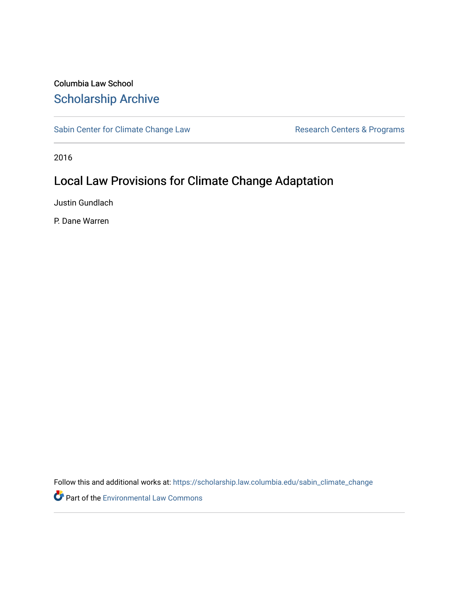# Columbia Law School [Scholarship Archive](https://scholarship.law.columbia.edu/)

[Sabin Center for Climate Change Law](https://scholarship.law.columbia.edu/sabin_climate_change) Research Centers & Programs

2016

# Local Law Provisions for Climate Change Adaptation

Justin Gundlach

P. Dane Warren

Follow this and additional works at: [https://scholarship.law.columbia.edu/sabin\\_climate\\_change](https://scholarship.law.columbia.edu/sabin_climate_change?utm_source=scholarship.law.columbia.edu%2Fsabin_climate_change%2F114&utm_medium=PDF&utm_campaign=PDFCoverPages) 

Part of the [Environmental Law Commons](http://network.bepress.com/hgg/discipline/599?utm_source=scholarship.law.columbia.edu%2Fsabin_climate_change%2F114&utm_medium=PDF&utm_campaign=PDFCoverPages)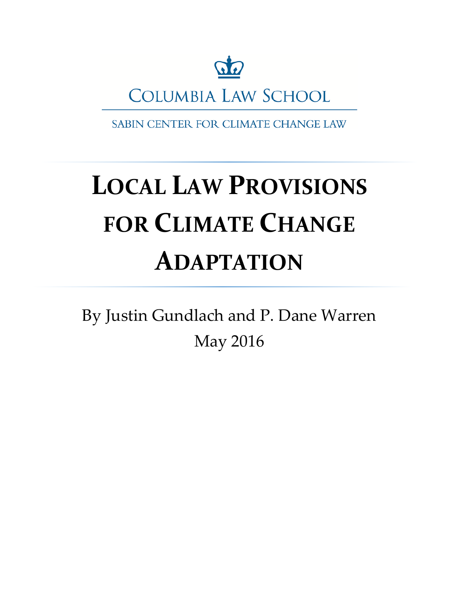

**COLUMBIA LAW SCHOOL** 

SABIN CENTER FOR CLIMATE CHANGE LAW

# **LOCAL LAW PROVISIONS FOR CLIMATE CHANGE ADAPTATION**

By Justin Gundlach and P. Dane Warren May 2016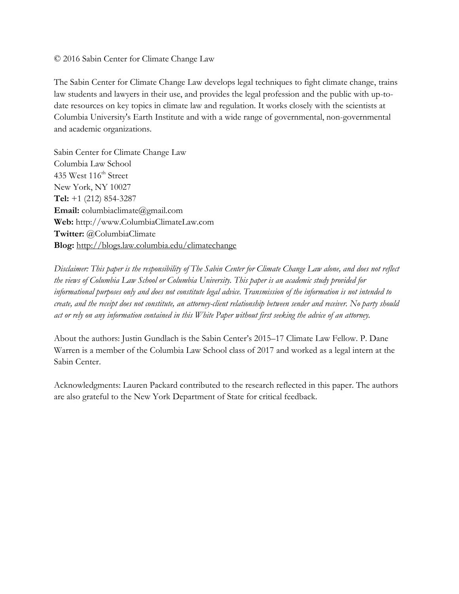# © 2016 Sabin Center for Climate Change Law

The Sabin Center for Climate Change Law develops legal techniques to fight climate change, trains law students and lawyers in their use, and provides the legal profession and the public with up-todate resources on key topics in climate law and regulation. It works closely with the scientists at Columbia University's Earth Institute and with a wide range of governmental, non-governmental and academic organizations.

Sabin Center for Climate Change Law Columbia Law School 435 West 116<sup>th</sup> Street New York, NY 10027 **Tel:** +1 (212) 854-3287 **Email:** columbiaclimate@gmail.com **Web:** http://www.ColumbiaClimateLaw.com **Twitter:** @ColumbiaClimate **Blog:** <http://blogs.law.columbia.edu/climatechange>

*Disclaimer: This paper is the responsibility of The Sabin Center for Climate Change Law alone, and does not reflect the views of Columbia Law School or Columbia University. This paper is an academic study provided for informational purposes only and does not constitute legal advice. Transmission of the information is not intended to create, and the receipt does not constitute, an attorney-client relationship between sender and receiver. No party should act or rely on any information contained in this White Paper without first seeking the advice of an attorney.* 

About the authors: Justin Gundlach is the Sabin Center's 2015–17 Climate Law Fellow. P. Dane Warren is a member of the Columbia Law School class of 2017 and worked as a legal intern at the Sabin Center.

Acknowledgments: Lauren Packard contributed to the research reflected in this paper. The authors are also grateful to the New York Department of State for critical feedback.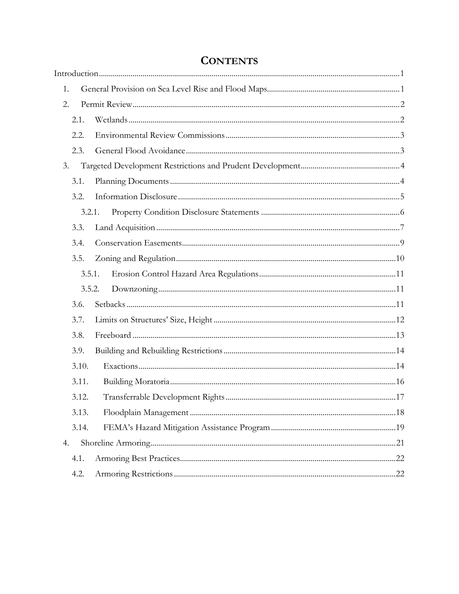<span id="page-4-0"></span>

| 1. |        |  |
|----|--------|--|
| 2. |        |  |
|    | 2.1.   |  |
|    | 2.2.   |  |
|    | 2.3.   |  |
| 3. |        |  |
|    | 3.1.   |  |
|    | 3.2.   |  |
|    | 3.2.1. |  |
|    | 3.3.   |  |
|    | 3.4.   |  |
|    | 3.5.   |  |
|    | 3.5.1. |  |
|    | 3.5.2. |  |
|    | 3.6.   |  |
|    | 3.7.   |  |
|    | 3.8.   |  |
|    | 3.9.   |  |
|    | 3.10.  |  |
|    | 3.11.  |  |
|    | 3.12.  |  |
|    | 3.13.  |  |
|    | 3.14.  |  |
| 4. |        |  |
|    | 4.1.   |  |
|    | 4.2.   |  |

# **CONTENTS**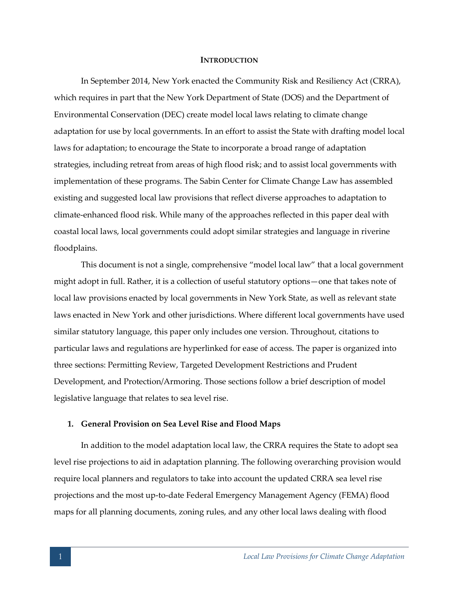#### **INTRODUCTION**

In September 2014, New York enacted the Community Risk and Resiliency Act (CRRA), which requires in part that the New York Department of State (DOS) and the Department of Environmental Conservation (DEC) create model local laws relating to climate change adaptation for use by local governments. In an effort to assist the State with drafting model local laws for adaptation; to encourage the State to incorporate a broad range of adaptation strategies, including retreat from areas of high flood risk; and to assist local governments with implementation of these programs. The Sabin Center for Climate Change Law has assembled existing and suggested local law provisions that reflect diverse approaches to adaptation to climate-enhanced flood risk. While many of the approaches reflected in this paper deal with coastal local laws, local governments could adopt similar strategies and language in riverine floodplains.

This document is not a single, comprehensive "model local law" that a local government might adopt in full. Rather, it is a collection of useful statutory options—one that takes note of local law provisions enacted by local governments in New York State, as well as relevant state laws enacted in New York and other jurisdictions. Where different local governments have used similar statutory language, this paper only includes one version. Throughout, citations to particular laws and regulations are hyperlinked for ease of access. The paper is organized into three sections: Permitting Review, Targeted Development Restrictions and Prudent Development, and Protection/Armoring. Those sections follow a brief description of model legislative language that relates to sea level rise.

#### <span id="page-5-0"></span>**1. General Provision on Sea Level Rise and Flood Maps**

In addition to the model adaptation local law, the CRRA requires the State to adopt sea level rise projections to aid in adaptation planning. The following overarching provision would require local planners and regulators to take into account the updated CRRA sea level rise projections and the most up-to-date Federal Emergency Management Agency (FEMA) flood maps for all planning documents, zoning rules, and any other local laws dealing with flood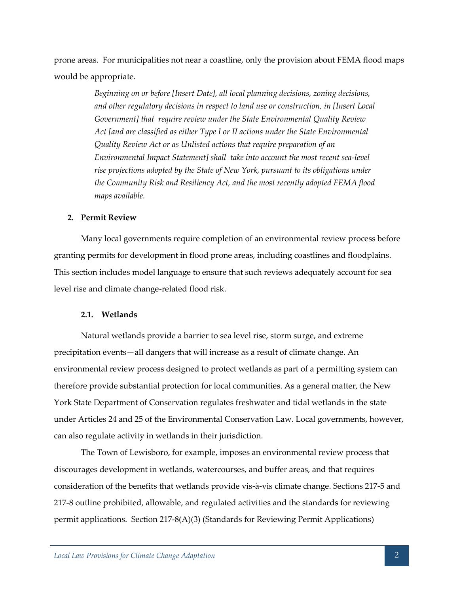prone areas. For municipalities not near a coastline, only the provision about FEMA flood maps would be appropriate.

> *Beginning on or before [Insert Date], all local planning decisions, zoning decisions, and other regulatory decisions in respect to land use or construction, in [Insert Local Government] that require review under the State Environmental Quality Review Act [and are classified as either Type I or II actions under the State Environmental Quality Review Act or as Unlisted actions that require preparation of an Environmental Impact Statement] shall take into account the most recent sea-level rise projections adopted by the State of New York, pursuant to its obligations under the Community Risk and Resiliency Act, and the most recently adopted FEMA flood maps available.*

# <span id="page-6-0"></span>**2. Permit Review**

Many local governments require completion of an environmental review process before granting permits for development in flood prone areas, including coastlines and floodplains. This section includes model language to ensure that such reviews adequately account for sea level rise and climate change-related flood risk.

#### <span id="page-6-1"></span>**2.1. Wetlands**

Natural wetlands provide a barrier to sea level rise, storm surge, and extreme precipitation events—all dangers that will increase as a result of climate change. An environmental review process designed to protect wetlands as part of a permitting system can therefore provide substantial protection for local communities. As a general matter, the New York State Department of Conservation regulates freshwater and tidal wetlands in the state under Articles 24 and 25 of the Environmental Conservation Law. Local governments, however, can also regulate activity in wetlands in their jurisdiction.

The Town of Lewisboro, for example, imposes an environmental review process that discourages development in wetlands, watercourses, and buffer areas, and that requires consideration of the benefits that wetlands provide vis-à-vis climate change. Sections 217-5 and 217-8 outline prohibited, allowable, and regulated activities and the standards for reviewing permit applications. Section 217-8(A)(3) (Standards for Reviewing Permit Applications)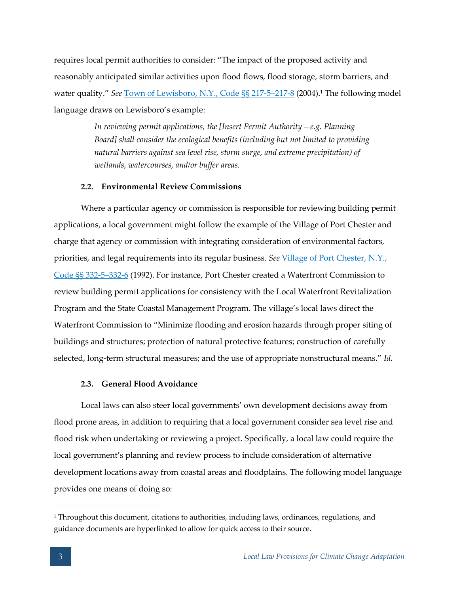requires local permit authorities to consider: "The impact of the proposed activity and reasonably anticipated similar activities upon flood flows, flood storage, storm barriers, and water quality." *See* [Town of Lewisboro, N.Y., Code §§ 217-5](http://ecode360.com/11024133)–217-8 (2004).<sup>1</sup> The following model language draws on Lewisboro's example:

> *In reviewing permit applications, the [Insert Permit Authority – e.g. Planning Board] shall consider the ecological benefits (including but not limited to providing natural barriers against sea level rise, storm surge, and extreme precipitation) of wetlands, watercourses, and/or buffer areas.*

# <span id="page-7-0"></span>**2.2. Environmental Review Commissions**

Where a particular agency or commission is responsible for reviewing building permit applications, a local government might follow the example of the Village of Port Chester and charge that agency or commission with integrating consideration of environmental factors, priorities, and legal requirements into its regular business. See Village of Port Chester, N.Y., [Code §§ 332-5](http://ecode360.com/10911218)–332-6 (1992). For instance, Port Chester created a Waterfront Commission to review building permit applications for consistency with the Local Waterfront Revitalization Program and the State Coastal Management Program. The village's local laws direct the Waterfront Commission to "Minimize flooding and erosion hazards through proper siting of buildings and structures; protection of natural protective features; construction of carefully selected, long-term structural measures; and the use of appropriate nonstructural means." *Id.*

# **2.3. General Flood Avoidance**

<span id="page-7-1"></span>Local laws can also steer local governments' own development decisions away from flood prone areas, in addition to requiring that a local government consider sea level rise and flood risk when undertaking or reviewing a project. Specifically, a local law could require the local government's planning and review process to include consideration of alternative development locations away from coastal areas and floodplains. The following model language provides one means of doing so:

<sup>&</sup>lt;sup>1</sup> Throughout this document, citations to authorities, including laws, ordinances, regulations, and guidance documents are hyperlinked to allow for quick access to their source.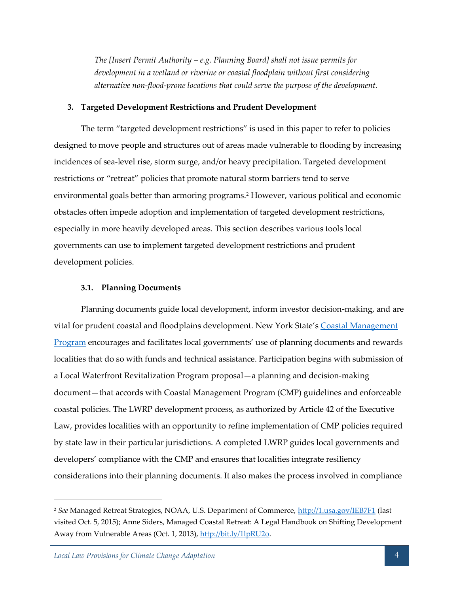*The [Insert Permit Authority – e.g. Planning Board] shall not issue permits for development in a wetland or riverine or coastal floodplain without first considering alternative non-flood-prone locations that could serve the purpose of the development.* 

## <span id="page-8-0"></span>**3. Targeted Development Restrictions and Prudent Development**

The term "targeted development restrictions" is used in this paper to refer to policies designed to move people and structures out of areas made vulnerable to flooding by increasing incidences of sea-level rise, storm surge, and/or heavy precipitation. Targeted development restrictions or "retreat" policies that promote natural storm barriers tend to serve environmental goals better than armoring programs.<sup>2</sup> However, various political and economic obstacles often impede adoption and implementation of targeted development restrictions, especially in more heavily developed areas. This section describes various tools local governments can use to implement targeted development restrictions and prudent development policies.

#### <span id="page-8-1"></span>**3.1. Planning Documents**

Planning documents guide local development, inform investor decision-making, and are vital for prudent coastal and floodplains development. New York State's [Coastal Management](https://www.google.com/url?sa=t&rct=j&q=&esrc=s&source=web&cd=1&ved=0CB4QFjAAahUKEwi648HdsJrIAhVMC5IKHSlTAOM&url=http%3A%2F%2Fwww.dos.ny.gov%2Fopd%2Fprograms%2Fpdfs%2FNY_CMP.pdf&usg=AFQjCNFhOOfCmx79bGrXtIXay-mgxWCskQ&cad=rja)  [Program](https://www.google.com/url?sa=t&rct=j&q=&esrc=s&source=web&cd=1&ved=0CB4QFjAAahUKEwi648HdsJrIAhVMC5IKHSlTAOM&url=http%3A%2F%2Fwww.dos.ny.gov%2Fopd%2Fprograms%2Fpdfs%2FNY_CMP.pdf&usg=AFQjCNFhOOfCmx79bGrXtIXay-mgxWCskQ&cad=rja) encourages and facilitates local governments' use of planning documents and rewards localities that do so with funds and technical assistance. Participation begins with submission of a Local Waterfront Revitalization Program proposal—a planning and decision-making document—that accords with Coastal Management Program (CMP) guidelines and enforceable coastal policies. The LWRP development process, as authorized by Article 42 of the Executive Law, provides localities with an opportunity to refine implementation of CMP policies required by state law in their particular jurisdictions. A completed LWRP guides local governments and developers' compliance with the CMP and ensures that localities integrate resiliency considerations into their planning documents. It also makes the process involved in compliance

<sup>2</sup> *See* Managed Retreat Strategies, NOAA, U.S. Department of Commerce,<http://1.usa.gov/IEB7F1> (last visited Oct. 5, 2015); Anne Siders, Managed Coastal Retreat: A Legal Handbook on Shifting Development Away from Vulnerable Areas (Oct. 1, 2013), [http://bit.ly/1lpRU2o.](http://bit.ly/1lpRU2o)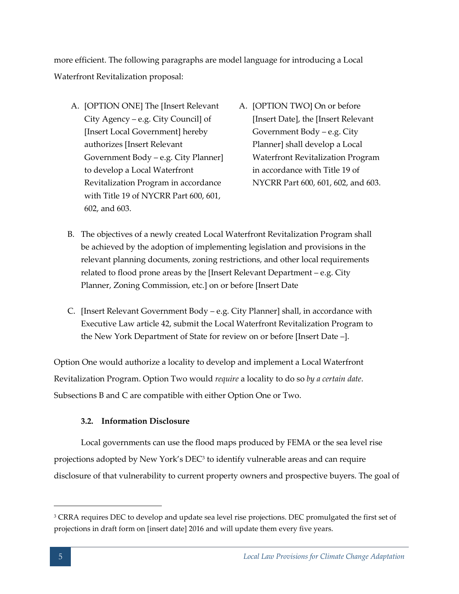more efficient. The following paragraphs are model language for introducing a Local Waterfront Revitalization proposal:

- A. [OPTION ONE] The [Insert Relevant City Agency – e.g. City Council] of [Insert Local Government] hereby authorizes [Insert Relevant Government Body – e.g. City Planner] to develop a Local Waterfront Revitalization Program in accordance with Title 19 of NYCRR Part 600, 601, 602, and 603.
- A. [OPTION TWO] On or before [Insert Date], the [Insert Relevant Government Body – e.g. City Planner] shall develop a Local Waterfront Revitalization Program in accordance with Title 19 of NYCRR Part 600, 601, 602, and 603.
- B. The objectives of a newly created Local Waterfront Revitalization Program shall be achieved by the adoption of implementing legislation and provisions in the relevant planning documents, zoning restrictions, and other local requirements related to flood prone areas by the [Insert Relevant Department – e.g. City Planner, Zoning Commission, etc.] on or before [Insert Date
- C. [Insert Relevant Government Body e.g. City Planner] shall, in accordance with Executive Law article 42, submit the Local Waterfront Revitalization Program to the New York Department of State for review on or before [Insert Date –].

Option One would authorize a locality to develop and implement a Local Waterfront Revitalization Program. Option Two would *require* a locality to do so *by a certain date*. Subsections B and C are compatible with either Option One or Two.

# **3.2. Information Disclosure**

<span id="page-9-0"></span>Local governments can use the flood maps produced by FEMA or the sea level rise projections adopted by New York's DEC<sup>3</sup> to identify vulnerable areas and can require disclosure of that vulnerability to current property owners and prospective buyers. The goal of

<sup>&</sup>lt;sup>3</sup> CRRA requires DEC to develop and update sea level rise projections. DEC promulgated the first set of projections in draft form on [insert date] 2016 and will update them every five years.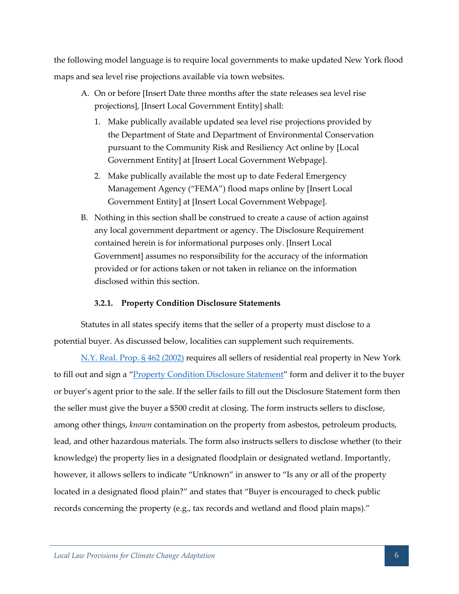the following model language is to require local governments to make updated New York flood maps and sea level rise projections available via town websites.

- A. On or before [Insert Date three months after the state releases sea level rise projections], [Insert Local Government Entity] shall:
	- 1. Make publically available updated sea level rise projections provided by the Department of State and Department of Environmental Conservation pursuant to the Community Risk and Resiliency Act online by [Local Government Entity] at [Insert Local Government Webpage].
	- 2. Make publically available the most up to date Federal Emergency Management Agency ("FEMA") flood maps online by [Insert Local Government Entity] at [Insert Local Government Webpage].
- B. Nothing in this section shall be construed to create a cause of action against any local government department or agency. The Disclosure Requirement contained herein is for informational purposes only. [Insert Local Government] assumes no responsibility for the accuracy of the information provided or for actions taken or not taken in reliance on the information disclosed within this section.

# **3.2.1. Property Condition Disclosure Statements**

<span id="page-10-0"></span>Statutes in all states specify items that the seller of a property must disclose to a potential buyer. As discussed below, localities can supplement such requirements.

[N.Y. Real. Prop. § 462 \(2002\)](http://law.onecle.com/new-york/real-property/RPP0462_462.html) requires all sellers of residential real property in New York to fill out and sign a "**[Property Condition Disclosure Statement](https://www.dos.ny.gov/forms/licensing/1614-a.pdf)**" form and deliver it to the buyer or buyer's agent prior to the sale. If the seller fails to fill out the Disclosure Statement form then the seller must give the buyer a \$500 credit at closing. The form instructs sellers to disclose, among other things, *known* contamination on the property from asbestos, petroleum products, lead, and other hazardous materials. The form also instructs sellers to disclose whether (to their knowledge) the property lies in a designated floodplain or designated wetland. Importantly, however, it allows sellers to indicate "Unknown" in answer to "Is any or all of the property located in a designated flood plain?" and states that "Buyer is encouraged to check public records concerning the property (e.g., tax records and wetland and flood plain maps)."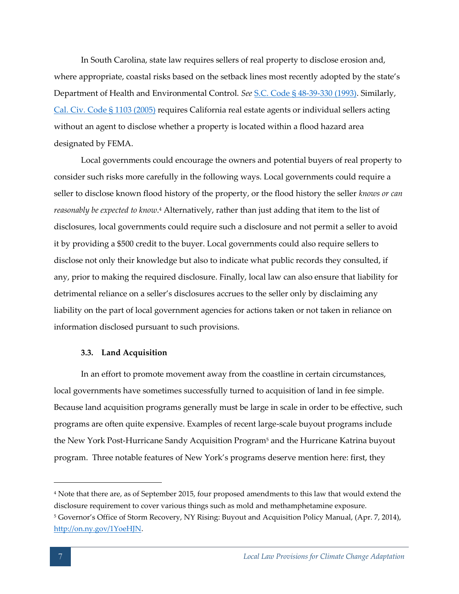In South Carolina, state law requires sellers of real property to disclose erosion and, where appropriate, coastal risks based on the setback lines most recently adopted by the state's Department of Health and Environmental Control. *See* [S.C. Code § 48-39-330 \(1993\).](http://www.scstatehouse.gov/code/t48c039.php) Similarly, [Cal. Civ. Code § 1103 \(2005\)](http://www.leginfo.ca.gov/cgi-bin/displaycode?section=civ&group=01001-02000&file=1103-1103.14) requires California real estate agents or individual sellers acting without an agent to disclose whether a property is located within a flood hazard area designated by FEMA.

Local governments could encourage the owners and potential buyers of real property to consider such risks more carefully in the following ways. Local governments could require a seller to disclose known flood history of the property, or the flood history the seller *knows or can reasonably be expected to know*. <sup>4</sup> Alternatively, rather than just adding that item to the list of disclosures, local governments could require such a disclosure and not permit a seller to avoid it by providing a \$500 credit to the buyer. Local governments could also require sellers to disclose not only their knowledge but also to indicate what public records they consulted, if any, prior to making the required disclosure. Finally, local law can also ensure that liability for detrimental reliance on a seller's disclosures accrues to the seller only by disclaiming any liability on the part of local government agencies for actions taken or not taken in reliance on information disclosed pursuant to such provisions.

# <span id="page-11-0"></span>**3.3. Land Acquisition**

In an effort to promote movement away from the coastline in certain circumstances, local governments have sometimes successfully turned to acquisition of land in fee simple. Because land acquisition programs generally must be large in scale in order to be effective, such programs are often quite expensive. Examples of recent large-scale buyout programs include the New York Post-Hurricane Sandy Acquisition Program<sup>5</sup> and the Hurricane Katrina buyout program. Three notable features of New York's programs deserve mention here: first, they

<sup>4</sup> Note that there are, as of September 2015, four proposed amendments to this law that would extend the disclosure requirement to cover various things such as mold and methamphetamine exposure. <sup>5</sup> Governor's Office of Storm Recovery, NY Rising: Buyout and Acquisition Policy Manual, (Apr. 7, 2014), [http://on.ny.gov/1YoeHJN.](http://on.ny.gov/1YoeHJN)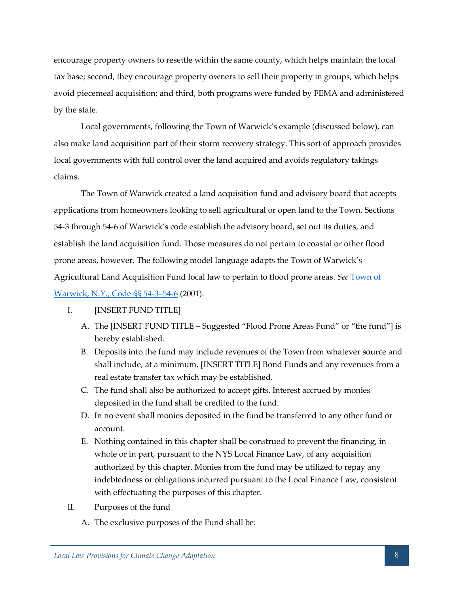encourage property owners to resettle within the same county, which helps maintain the local tax base; second, they encourage property owners to sell their property in groups, which helps avoid piecemeal acquisition; and third, both programs were funded by FEMA and administered by the state.

Local governments, following the Town of Warwick's example (discussed below), can also make land acquisition part of their storm recovery strategy. This sort of approach provides local governments with full control over the land acquired and avoids regulatory takings claims.

The Town of Warwick created a land acquisition fund and advisory board that accepts applications from homeowners looking to sell agricultural or open land to the Town. Sections 54-3 through 54-6 of Warwick's code establish the advisory board, set out its duties, and establish the land acquisition fund. Those measures do not pertain to coastal or other flood prone areas, however. The following model language adapts the Town of Warwick's Agricultural Land Acquisition Fund local law to pertain to flood prone areas. *See* [Town of](http://ecode360.com/11144045)  [Warwick, N.Y., Code §§ 54-3](http://ecode360.com/11144045)–54-6 (2001).

# I. [INSERT FUND TITLE]

- A. The [INSERT FUND TITLE Suggested "Flood Prone Areas Fund" or "the fund"] is hereby established.
- B. Deposits into the fund may include revenues of the Town from whatever source and shall include, at a minimum, [INSERT TITLE] Bond Funds and any revenues from a real estate transfer tax which may be established.
- C. The fund shall also be authorized to accept gifts. Interest accrued by monies deposited in the fund shall be credited to the fund.
- D. In no event shall monies deposited in the fund be transferred to any other fund or account.
- E. Nothing contained in this chapter shall be construed to prevent the financing, in whole or in part, pursuant to the NYS Local Finance Law, of any acquisition authorized by this chapter. Monies from the fund may be utilized to repay any indebtedness or obligations incurred pursuant to the Local Finance Law, consistent with effectuating the purposes of this chapter.
- II. Purposes of the fund
	- A. The exclusive purposes of the Fund shall be: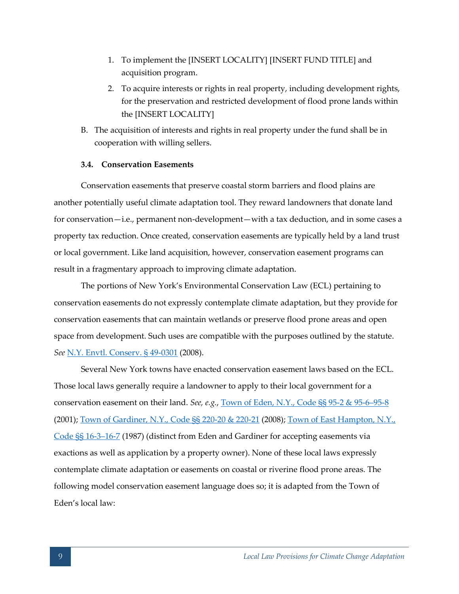- 1. To implement the [INSERT LOCALITY] [INSERT FUND TITLE] and acquisition program.
- 2. To acquire interests or rights in real property, including development rights, for the preservation and restricted development of flood prone lands within the [INSERT LOCALITY]
- B. The acquisition of interests and rights in real property under the fund shall be in cooperation with willing sellers.

# <span id="page-13-0"></span>**3.4. Conservation Easements**

Conservation easements that preserve coastal storm barriers and flood plains are another potentially useful climate adaptation tool. They reward landowners that donate land for conservation—i.e., permanent non-development—with a tax deduction, and in some cases a property tax reduction. Once created, conservation easements are typically held by a land trust or local government. Like land acquisition, however, conservation easement programs can result in a fragmentary approach to improving climate adaptation.

The portions of New York's Environmental Conservation Law (ECL) pertaining to conservation easements do not expressly contemplate climate adaptation, but they provide for conservation easements that can maintain wetlands or preserve flood prone areas and open space from development. Such uses are compatible with the purposes outlined by the statute. *See* [N.Y. Envtl. Conserv. § 49-0301](http://www.pb.state.ny.us/parking%20lot%20item%20attachments/Article%2049%20-%20Conservation%20Easements.pdf) (2008).

Several New York towns have enacted conservation easement laws based on the ECL. Those local laws generally require a landowner to apply to their local government for a conservation easement on their land. *See, e.g.*[, Town of Eden, N.Y., Code §§ 95-2 & 95-6](http://ecode360.com/10569567)–[95-8](http://ecode360.com/10569567) (2001); [Town of Gardiner, N.Y., Code §§ 220-20 & 220-21](https://www.ecode360.com/9151720) (2008)[; Town of East Hampton, N.Y.,](http://ecode360.com/12073922)  [Code §§ 16-3](http://ecode360.com/12073922)–16-7 (1987) (distinct from Eden and Gardiner for accepting easements via exactions as well as application by a property owner). None of these local laws expressly contemplate climate adaptation or easements on coastal or riverine flood prone areas. The following model conservation easement language does so; it is adapted from the Town of Eden's local law: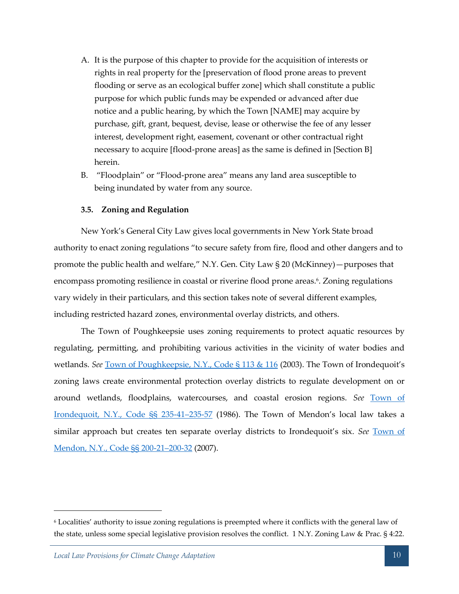- A. It is the purpose of this chapter to provide for the acquisition of interests or rights in real property for the [preservation of flood prone areas to prevent flooding or serve as an ecological buffer zone] which shall constitute a public purpose for which public funds may be expended or advanced after due notice and a public hearing, by which the Town [NAME] may acquire by purchase, gift, grant, bequest, devise, lease or otherwise the fee of any lesser interest, development right, easement, covenant or other contractual right necessary to acquire [flood-prone areas] as the same is defined in [Section B] herein.
- B. "Floodplain" or "Flood-prone area" means any land area susceptible to being inundated by water from any source.

# <span id="page-14-0"></span>**3.5. Zoning and Regulation**

New York's General City Law gives local governments in New York State broad authority to enact zoning regulations "to secure safety from fire, flood and other dangers and to promote the public health and welfare," N.Y. Gen. City Law § 20 (McKinney)—purposes that encompass promoting resilience in coastal or riverine flood prone areas.<sup>6</sup>. Zoning regulations vary widely in their particulars, and this section takes note of several different examples, including restricted hazard zones, environmental overlay districts, and others.

The Town of Poughkeepsie uses zoning requirements to protect aquatic resources by regulating, permitting, and prohibiting various activities in the vicinity of water bodies and wetlands. *See* [Town of Poughkeepsie, N.Y., Code § 113 & 116](http://ecode360.com/6321213) (2003). The Town of Irondequoit's zoning laws create environmental protection overlay districts to regulate development on or around wetlands, floodplains, watercourses, and coastal erosion regions. *See* [Town of](http://ecode360.com/6408239)  [Irondequoit, N.Y., Code §§ 235-41](http://ecode360.com/6408239)–235-57 (1986). The Town of Mendon's local law takes a similar approach but creates ten separate overlay districts to Irondequoit's six. *See* [Town of](http://ecode360.com/11064073)  [Mendon, N.Y., Code §§ 200-21](http://ecode360.com/11064073)–200-32 (2007).

<sup>6</sup> Localities' authority to issue zoning regulations is preempted where it conflicts with the general law of the state, unless some special legislative provision resolves the conflict. 1 N.Y. Zoning Law & Prac. § 4:22.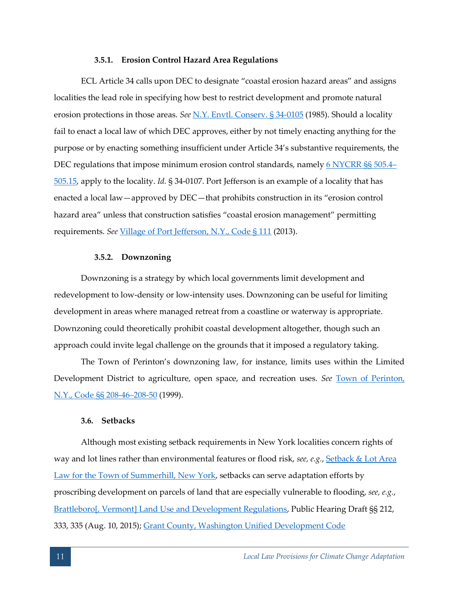### **3.5.1. Erosion Control Hazard Area Regulations**

<span id="page-15-0"></span>ECL Article 34 calls upon DEC to designate "coastal erosion hazard areas" and assigns localities the lead role in specifying how best to restrict development and promote natural erosion protections in those areas. *See* [N.Y. Envtl. Conserv. § 34-0105](https://www.dot.ny.gov/divisions/engineering/environmental-analysis/manuals-and-guidance/epm/repository/4_4_6_ECL_Art34.pdf) (1985). Should a locality fail to enact a local law of which DEC approves, either by not timely enacting anything for the purpose or by enacting something insufficient under Article 34's substantive requirements, the DEC regulations that impose minimum erosion control standards, namely [6 NYCRR §§ 505.4](https://govt.westlaw.com/nycrr/Browse/Home/NewYork/NewYorkCodesRulesandRegulations?guid=Ieff21f00b5a011dda0a4e17826ebc834&originationContext=documenttoc&transitionType=Default&contextData=(sc.Default)&bhcp=1)– [505.15,](https://govt.westlaw.com/nycrr/Browse/Home/NewYork/NewYorkCodesRulesandRegulations?guid=Ieff21f00b5a011dda0a4e17826ebc834&originationContext=documenttoc&transitionType=Default&contextData=(sc.Default)&bhcp=1) apply to the locality. *Id.* § 34-0107. Port Jefferson is an example of a locality that has enacted a local law—approved by DEC—that prohibits construction in its "erosion control hazard area" unless that construction satisfies "coastal erosion management" permitting requirements. *See* [Village of Port Jefferson, N.Y., Code § 111](http://ecode360.com/9305639) (2013).

#### **3.5.2. Downzoning**

<span id="page-15-1"></span>Downzoning is a strategy by which local governments limit development and redevelopment to low-density or low-intensity uses. Downzoning can be useful for limiting development in areas where managed retreat from a coastline or waterway is appropriate. Downzoning could theoretically prohibit coastal development altogether, though such an approach could invite legal challenge on the grounds that it imposed a regulatory taking.

The Town of Perinton's downzoning law, for instance, limits uses within the Limited Development District to agriculture, open space, and recreation uses. *See* [Town of Perinton,](http://ecode360.com/6741929)  [N.Y., Code §§ 208-46](http://ecode360.com/6741929)–208-50 (1999).

# <span id="page-15-2"></span>**3.6. Setbacks**

Although most existing setback requirements in New York localities concern rights of way and lot lines rather than environmental features or flood risk, *see, e.g.*, [Setback & Lot Area](http://www.cayugacounty.us/portals/1/summerhill/Local_Law_No1_2015_Setback_LotArea.pdf)  [Law for the Town of Summerhill, New York,](http://www.cayugacounty.us/portals/1/summerhill/Local_Law_No1_2015_Setback_LotArea.pdf) setbacks can serve adaptation efforts by proscribing development on parcels of land that are especially vulnerable to flooding, *see, e.g.*, [Brattleboro\[, Vermont\] Land Use and Development Regulations,](https://outside.vermont.gov/agency/ACCD/bylaws/Bylaws%20and%20Plans%20Approved/Brattleboro_Propsoed_LandUseRegualtions_August_2015.pdf) Public Hearing Draft §§ 212, 333, 335 (Aug. 10, 2015); [Grant County, Washington Unified Development Code](http://www.grantcountywa.gov/planning/Downloads/Unified-Development-Code/Chapter_23.12-Development_Standards.pdf)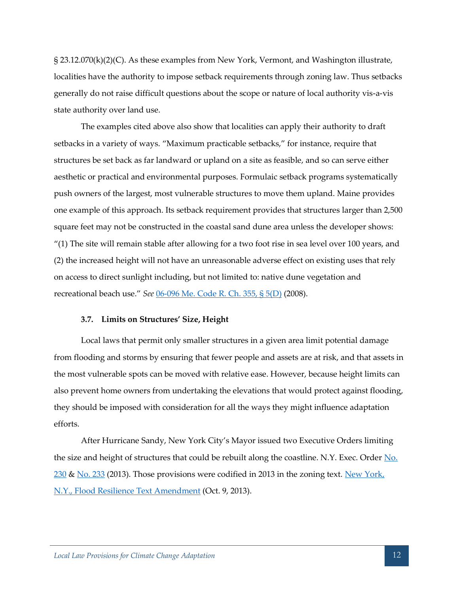§ 23.12.070(k)(2)(C). As these examples from New York, Vermont, and Washington illustrate, localities have the authority to impose setback requirements through zoning law. Thus setbacks generally do not raise difficult questions about the scope or nature of local authority vis-a-vis state authority over land use.

The examples cited above also show that localities can apply their authority to draft setbacks in a variety of ways. "Maximum practicable setbacks," for instance, require that structures be set back as far landward or upland on a site as feasible, and so can serve either aesthetic or practical and environmental purposes. Formulaic setback programs systematically push owners of the largest, most vulnerable structures to move them upland. Maine provides one example of this approach. Its setback requirement provides that structures larger than 2,500 square feet may not be constructed in the coastal sand dune area unless the developer shows: "(1) The site will remain stable after allowing for a two foot rise in sea level over 100 years, and (2) the increased height will not have an unreasonable adverse effect on existing uses that rely on access to direct sunlight including, but not limited to: native dune vegetation and recreational beach use." *See* [06-096 Me. Code R. Ch. 355, § 5\(D\)](http://www.maine.gov/dep/land/nrpa/sand_dune_application.pdf) (2008).

# <span id="page-16-0"></span>**3.7. Limits on Structures' Size, Height**

Local laws that permit only smaller structures in a given area limit potential damage from flooding and storms by ensuring that fewer people and assets are at risk, and that assets in the most vulnerable spots can be moved with relative ease. However, because height limits can also prevent home owners from undertaking the elevations that would protect against flooding, they should be imposed with consideration for all the ways they might influence adaptation efforts.

After Hurricane Sandy, New York City's Mayor issued two Executive Orders limiting the size and height of structures that could be rebuilt along the coastline. N.Y. Exec. Order  $\underline{No}$ .  $230$  & [No. 233](http://www.nyc.gov/html/dob/downloads/pdf/EO_233_explanations.pdf) (2013). Those provisions were codified in 2013 in the zoning text. New York, [N.Y., Flood Resilience Text Amendment](http://www.nyc.gov/html/dcp/pdf/flood_resiliency/final_text.pdf) (Oct. 9, 2013).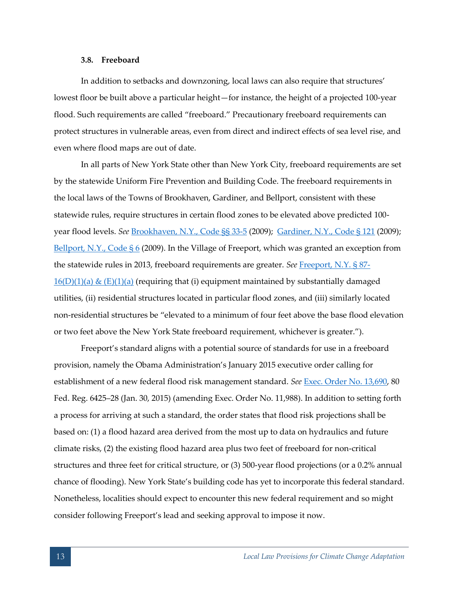#### **3.8. Freeboard**

<span id="page-17-0"></span>In addition to setbacks and downzoning, local laws can also require that structures' lowest floor be built above a particular height—for instance, the height of a projected 100-year flood. Such requirements are called "freeboard." Precautionary freeboard requirements can protect structures in vulnerable areas, even from direct and indirect effects of sea level rise, and even where flood maps are out of date.

In all parts of New York State other than New York City, freeboard requirements are set by the statewide Uniform Fire Prevention and Building Code. The freeboard requirements in the local laws of the Towns of Brookhaven, Gardiner, and Bellport, consistent with these statewide rules, require structures in certain flood zones to be elevated above predicted 100 year flood levels. *See* [Brookhaven, N.Y., Code §§ 33-5](http://ecode360.com/8592514) (2009); [Gardiner, N.Y., Code § 121](http://ecode360.com/9149945) (2009); Bellport, N.Y., Code  $\S 6$  (2009). In the Village of Freeport, which was granted an exception from the statewide rules in 2013, freeboard requirements are greater. *See* [Freeport, N.Y. § 87-](http://ecode360.com/9276409)  $16(D)(1)(a) & (E)(1)(a)$  (requiring that (i) equipment maintained by substantially damaged utilities, (ii) residential structures located in particular flood zones, and (iii) similarly located non-residential structures be "elevated to a minimum of four feet above the base flood elevation or two feet above the New York State freeboard requirement, whichever is greater.").

Freeport's standard aligns with a potential source of standards for use in a freeboard provision, namely the Obama Administration's January 2015 executive order calling for establishment of a new federal flood risk management standard. *See* [Exec. Order No. 13,690,](http://www.gpo.gov/fdsys/pkg/FR-2015-02-04/pdf/2015-02379.pdf) 80 Fed. Reg. 6425–28 (Jan. 30, 2015) (amending Exec. Order No. 11,988). In addition to setting forth a process for arriving at such a standard, the order states that flood risk projections shall be based on: (1) a flood hazard area derived from the most up to data on hydraulics and future climate risks, (2) the existing flood hazard area plus two feet of freeboard for non-critical structures and three feet for critical structure, or (3) 500-year flood projections (or a 0.2% annual chance of flooding). New York State's building code has yet to incorporate this federal standard. Nonetheless, localities should expect to encounter this new federal requirement and so might consider following Freeport's lead and seeking approval to impose it now.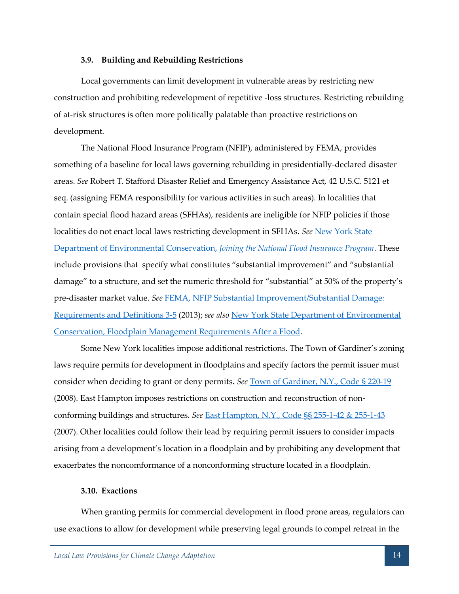## **3.9. Building and Rebuilding Restrictions**

<span id="page-18-0"></span>Local governments can limit development in vulnerable areas by restricting new construction and prohibiting redevelopment of repetitive -loss structures. Restricting rebuilding of at-risk structures is often more politically palatable than proactive restrictions on development.

The National Flood Insurance Program (NFIP), administered by FEMA, provides something of a baseline for local laws governing rebuilding in presidentially-declared disaster areas. *See* Robert T. Stafford Disaster Relief and Emergency Assistance Act, 42 U.S.C. 5121 et seq. (assigning FEMA responsibility for various activities in such areas). In localities that contain special flood hazard areas (SFHAs), residents are ineligible for NFIP policies if those localities do not enact local laws restricting development in SFHAs. *See* [New York State](http://www.dec.ny.gov/lands/39341.html)  [Department of Environmental Conservation,](http://www.dec.ny.gov/lands/39341.html) *Joining the National Flood Insurance Program*. These include provisions that specify what constitutes "substantial improvement" and "substantial damage" to a structure, and set the numeric threshold for "substantial" at 50% of the property's pre-disaster market value. *See* [FEMA, NFIP Substantial Improvement/Substantial Damage:](http://www.fema.gov/media-library-data/20130726-1733-25045-8643/p758_ch3_r2.pdf)  [Requirements and Definitions 3-5](http://www.fema.gov/media-library-data/20130726-1733-25045-8643/p758_ch3_r2.pdf) (2013); *see also* [New York State Department of Environmental](http://www.dec.ny.gov/lands/75774.html)  [Conservation, Floodplain Management Requirements After a Flood.](http://www.dec.ny.gov/lands/75774.html)

Some New York localities impose additional restrictions. The Town of Gardiner's zoning laws require permits for development in floodplains and specify factors the permit issuer must consider when deciding to grant or deny permits. *See* [Town of Gardiner, N.Y., Code § 220-19](https://www.ecode360.com/9151691) (2008). East Hampton imposes restrictions on construction and reconstruction of nonconforming buildings and structures. *See* [East Hampton, N.Y., Code §§ 255-1-42 & 255-1-43](http://ecode360.com/10414216) (2007). Other localities could follow their lead by requiring permit issuers to consider impacts arising from a development's location in a floodplain and by prohibiting any development that exacerbates the noncomformance of a nonconforming structure located in a floodplain.

### <span id="page-18-1"></span>**3.10. Exactions**

When granting permits for commercial development in flood prone areas, regulators can use exactions to allow for development while preserving legal grounds to compel retreat in the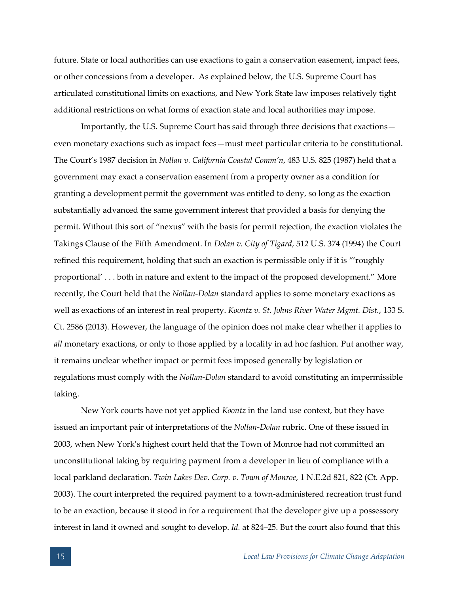future. State or local authorities can use exactions to gain a conservation easement, impact fees, or other concessions from a developer. As explained below, the U.S. Supreme Court has articulated constitutional limits on exactions, and New York State law imposes relatively tight additional restrictions on what forms of exaction state and local authorities may impose.

Importantly, the U.S. Supreme Court has said through three decisions that exactions even monetary exactions such as impact fees—must meet particular criteria to be constitutional. The Court's 1987 decision in *Nollan v. California Coastal Comm'n*, 483 U.S. 825 (1987) held that a government may exact a conservation easement from a property owner as a condition for granting a development permit the government was entitled to deny, so long as the exaction substantially advanced the same government interest that provided a basis for denying the permit. Without this sort of "nexus" with the basis for permit rejection, the exaction violates the Takings Clause of the Fifth Amendment. In *Dolan v. City of Tigard*, 512 U.S. 374 (1994) the Court refined this requirement, holding that such an exaction is permissible only if it is "'roughly proportional' . . . both in nature and extent to the impact of the proposed development." More recently, the Court held that the *Nollan*-*Dolan* standard applies to some monetary exactions as well as exactions of an interest in real property. *Koontz v. St. Johns River Water Mgmt. Dist.*, 133 S. Ct. 2586 (2013). However, the language of the opinion does not make clear whether it applies to *all* monetary exactions, or only to those applied by a locality in ad hoc fashion. Put another way, it remains unclear whether impact or permit fees imposed generally by legislation or regulations must comply with the *Nollan*-*Dolan* standard to avoid constituting an impermissible taking.

New York courts have not yet applied *Koontz* in the land use context, but they have issued an important pair of interpretations of the *Nollan-Dolan* rubric. One of these issued in 2003, when New York's highest court held that the Town of Monroe had not committed an unconstitutional taking by requiring payment from a developer in lieu of compliance with a local parkland declaration. *Twin Lakes Dev. Corp. v. Town of Monroe*, 1 N.E.2d 821, 822 (Ct. App. 2003). The court interpreted the required payment to a town-administered recreation trust fund to be an exaction, because it stood in for a requirement that the developer give up a possessory interest in land it owned and sought to develop. *Id.* at 824–25. But the court also found that this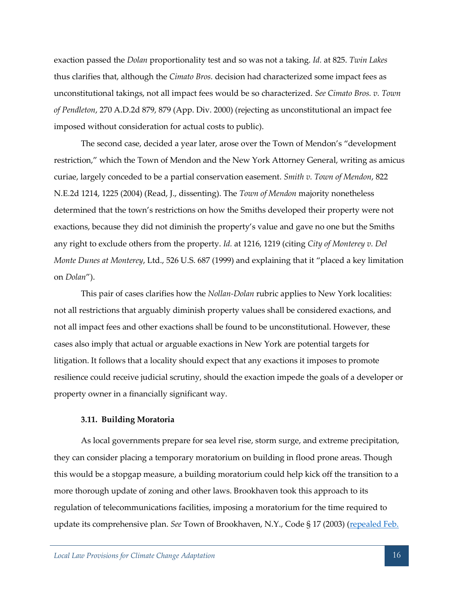exaction passed the *Dolan* proportionality test and so was not a taking. *Id.* at 825. *Twin Lakes*  thus clarifies that, although the *Cimato Bros.* decision had characterized some impact fees as unconstitutional takings, not all impact fees would be so characterized. *See Cimato Bros. v. Town of Pendleton*, 270 A.D.2d 879, 879 (App. Div. 2000) (rejecting as unconstitutional an impact fee imposed without consideration for actual costs to public).

The second case, decided a year later, arose over the Town of Mendon's "development restriction," which the Town of Mendon and the New York Attorney General, writing as amicus curiae, largely conceded to be a partial conservation easement. *Smith v. Town of Mendon*, 822 N.E.2d 1214, 1225 (2004) (Read, J., dissenting). The *Town of Mendon* majority nonetheless determined that the town's restrictions on how the Smiths developed their property were not exactions, because they did not diminish the property's value and gave no one but the Smiths any right to exclude others from the property. *Id.* at 1216, 1219 (citing *City of Monterey v. Del Monte Dunes at Monterey*, Ltd., 526 U.S. 687 (1999) and explaining that it "placed a key limitation on *Dolan*").

This pair of cases clarifies how the *Nollan-Dolan* rubric applies to New York localities: not all restrictions that arguably diminish property values shall be considered exactions, and not all impact fees and other exactions shall be found to be unconstitutional. However, these cases also imply that actual or arguable exactions in New York are potential targets for litigation. It follows that a locality should expect that any exactions it imposes to promote resilience could receive judicial scrutiny, should the exaction impede the goals of a developer or property owner in a financially significant way.

#### <span id="page-20-0"></span>**3.11. Building Moratoria**

As local governments prepare for sea level rise, storm surge, and extreme precipitation, they can consider placing a temporary moratorium on building in flood prone areas. Though this would be a stopgap measure, a building moratorium could help kick off the transition to a more thorough update of zoning and other laws. Brookhaven took this approach to its regulation of telecommunications facilities, imposing a moratorium for the time required to update its comprehensive plan. *See* Town of Brookhaven, N.Y., Code § 17 (2003) [\(repealed Feb.](http://ecode360.com/8590456)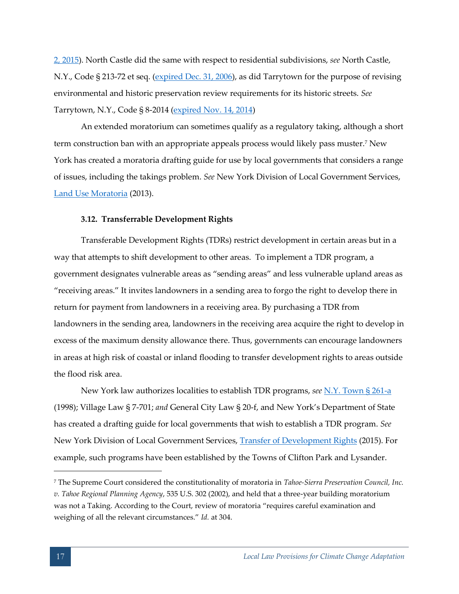[2, 2015\)](http://ecode360.com/8590456). North Castle did the same with respect to residential subdivisions, *see* North Castle, N.Y., Code § 213-72 et seq. [\(expired Dec. 31, 2006\)](http://ecode360.com/8567234), as did Tarrytown for the purpose of revising environmental and historic preservation review requirements for its historic streets. *See* Tarrytown, N.Y., Code § 8-2014 [\(expired Nov. 14, 2014\)](http://ecode360.com/10677988)

An extended moratorium can sometimes qualify as a regulatory taking, although a short term construction ban with an appropriate appeals process would likely pass muster.<sup>7</sup> New York has created a moratoria drafting guide for use by local governments that considers a range of issues, including the takings problem. *See* New York Division of Local Government Services, [Land Use Moratoria](http://www.dos.ny.gov/lg/publications/Land_Use_Moratoria.pdf) (2013).

# <span id="page-21-0"></span>**3.12. Transferrable Development Rights**

Transferable Development Rights (TDRs) restrict development in certain areas but in a way that attempts to shift development to other areas. To implement a TDR program, a government designates vulnerable areas as "sending areas" and less vulnerable upland areas as "receiving areas." It invites landowners in a sending area to forgo the right to develop there in return for payment from landowners in a receiving area. By purchasing a TDR from landowners in the sending area, landowners in the receiving area acquire the right to develop in excess of the maximum density allowance there. Thus, governments can encourage landowners in areas at high risk of coastal or inland flooding to transfer development rights to areas outside the flood risk area.

New York law authorizes localities to establish TDR programs, *see* [N.Y. Town § 261-a](http://codes.lp.findlaw.com/nycode/TWN/16/261-a) (1998); Village Law § 7-701; *and* General City Law § 20-f, and New York's Department of State has created a drafting guide for local governments that wish to establish a TDR program. *See* New York Division of Local Government Services, [Transfer of Development Rights](http://www.dos.ny.gov/lg/publications/Transfer_of_Development_Rights.pdf) (2015). For example, such programs have been established by the Towns of Clifton Park and Lysander.

<sup>7</sup> The Supreme Court considered the constitutionality of moratoria in *Tahoe-Sierra Preservation Council, Inc. v. Tahoe Regional Planning Agency*, 535 U.S. 302 (2002), and held that a three-year building moratorium was not a Taking. According to the Court, review of moratoria "requires careful examination and weighing of all the relevant circumstances." *Id.* at 304.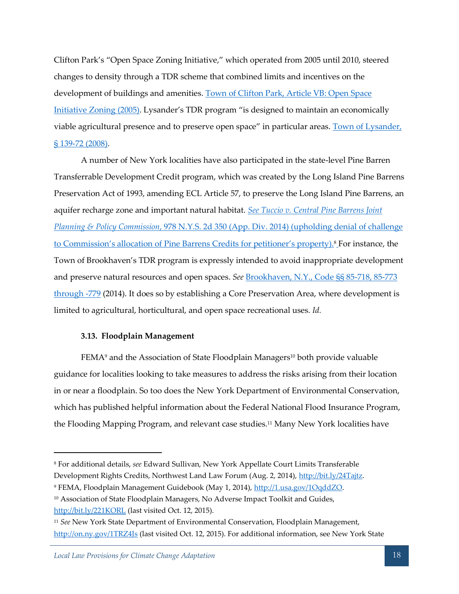Clifton Park's "Open Space Zoning Initiative," which operated from 2005 until 2010, steered changes to density through a TDR scheme that combined limits and incentives on the development of buildings and amenities. Town of Clifton Park, Article VB: Open Space [Initiative Zoning \(2005\)](http://ecode360.com/6715253). Lysander's TDR program "is designed to maintain an economically viable agricultural presence and to preserve open space" in particular areas. Town of Lysander, [§ 139-72 \(2008\).](http://ecode360.com/12229952?highlight=lysander%20tdr,lysander,tdr#12229952)

A number of New York localities have also participated in the state-level Pine Barren Transferrable Development Credit program, which was created by the Long Island Pine Barrens Preservation Act of 1993, amending ECL Article 57, to preserve the Long Island Pine Barrens, an aquifer recharge zone and important natural habitat. *See [Tuccio v. Central Pine Barrens Joint](http://pb.state.ny.us/article57/ecl57.html)  [Planning & Policy Commission](http://pb.state.ny.us/article57/ecl57.html)*, 978 N.Y.S. 2d 350 (App. Div. 2014) (upholding denial of challenge to Commission's allocation of Pine Barrens Credits for petitioner's property).<sup>8</sup> For instance, the Town of Brookhaven's TDR program is expressly intended to avoid inappropriate development and preserve natural resources and open spaces. *See* [Brookhaven, N.Y., Code §§ 85-718, 85-773](http://ecode360.com/8599488)  [through -779](http://ecode360.com/8599488) (2014). It does so by establishing a Core Preservation Area, where development is limited to agricultural, horticultural, and open space recreational uses. *Id.*

# <span id="page-22-0"></span>**3.13. Floodplain Management**

FEMA<sup>9</sup> and the Association of State Floodplain Managers<sup>10</sup> both provide valuable guidance for localities looking to take measures to address the risks arising from their location in or near a floodplain. So too does the New York Department of Environmental Conservation, which has published helpful information about the Federal National Flood Insurance Program, the Flooding Mapping Program, and relevant case studies.<sup>11</sup> Many New York localities have

<sup>8</sup> For additional details, *see* Edward Sullivan, New York Appellate Court Limits Transferable Development Rights Credits, Northwest Land Law Forum (Aug. 2, 2014)[, http://bit.ly/24Tajtz.](http://bit.ly/24Tajtz)

<sup>9</sup> FEMA, Floodplain Management Guidebook (May 1, 2014), [http://1.usa.gov/1OqddZO.](http://1.usa.gov/1OqddZO)

<sup>&</sup>lt;sup>10</sup> Association of State Floodplain Managers, No Adverse Impact Toolkit and Guides, <http://bit.ly/221KORL> (last visited Oct. 12, 2015).

<sup>11</sup> *See* New York State Department of Environmental Conservation, Floodplain Management, <http://on.ny.gov/1TRZ4Js> (last visited Oct. 12, 2015). For additional information, see New York State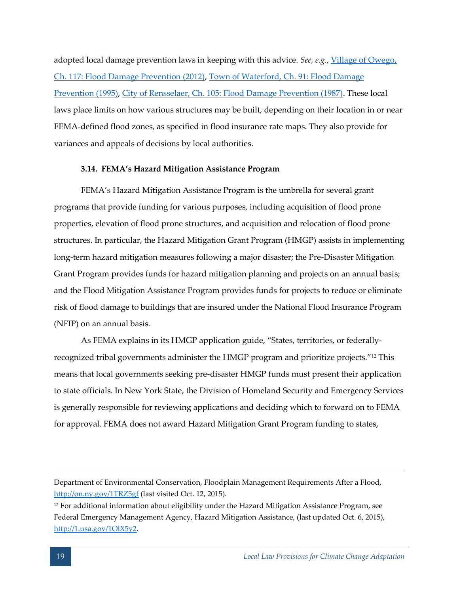adopted local damage prevention laws in keeping with this advice. *See, e.g.*, [Village of Owego,](http://ecode360.com/10890248)  [Ch. 117: Flood Damage Prevention \(2012\),](http://ecode360.com/10890248) [Town of Waterford, Ch. 91: Flood Damage](http://ecode360.com/13678122)  [Prevention \(1995\),](http://ecode360.com/13678122) [City of Rensselaer, Ch. 105: Flood Damage Prevention \(1987\).](http://ecode360.com/11740144) These local laws place limits on how various structures may be built, depending on their location in or near FEMA-defined flood zones, as specified in flood insurance rate maps. They also provide for variances and appeals of decisions by local authorities.

# <span id="page-23-0"></span>**3.14. FEMA's Hazard Mitigation Assistance Program**

FEMA's Hazard Mitigation Assistance Program is the umbrella for several grant programs that provide funding for various purposes, including acquisition of flood prone properties, elevation of flood prone structures, and acquisition and relocation of flood prone structures. In particular, the Hazard Mitigation Grant Program (HMGP) assists in implementing long-term hazard mitigation measures following a major disaster; the Pre-Disaster Mitigation Grant Program provides funds for hazard mitigation planning and projects on an annual basis; and the Flood Mitigation Assistance Program provides funds for projects to reduce or eliminate risk of flood damage to buildings that are insured under the National Flood Insurance Program (NFIP) on an annual basis.

As FEMA explains in its HMGP application guide, "States, territories, or federallyrecognized tribal governments administer the HMGP program and prioritize projects."<sup>12</sup> This means that local governments seeking pre-disaster HMGP funds must present their application to state officials. In New York State, the Division of Homeland Security and Emergency Services is generally responsible for reviewing applications and deciding which to forward on to FEMA for approval. FEMA does not award Hazard Mitigation Grant Program funding to states,

Department of Environmental Conservation, Floodplain Management Requirements After a Flood, <http://on.ny.gov/1TRZ5gf> (last visited Oct. 12, 2015).

<sup>&</sup>lt;sup>12</sup> For additional information about eligibility under the Hazard Mitigation Assistance Program, see Federal Emergency Management Agency, Hazard Mitigation Assistance, (last updated Oct. 6, 2015), [http://1.usa.gov/1OlX5y2.](http://1.usa.gov/1OlX5y2)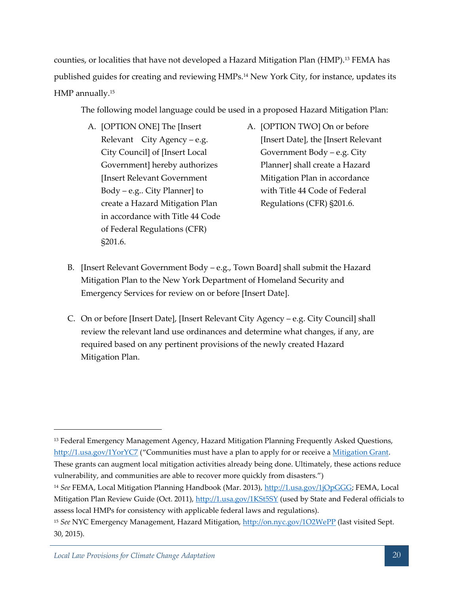counties, or localities that have not developed a Hazard Mitigation Plan (HMP).<sup>13</sup> FEMA has published guides for creating and reviewing HMPs.<sup>14</sup> New York City, for instance, updates its HMP annually.<sup>15</sup>

The following model language could be used in a proposed Hazard Mitigation Plan:

- A. [OPTION ONE] The [Insert Relevant City Agency – e.g. City Council] of [Insert Local Government] hereby authorizes [Insert Relevant Government Body – e.g.. City Planner] to create a Hazard Mitigation Plan in accordance with Title 44 Code of Federal Regulations (CFR) §201.6.
- A. [OPTION TWO] On or before [Insert Date], the [Insert Relevant Government Body – e.g. City Planner] shall create a Hazard Mitigation Plan in accordance with Title 44 Code of Federal Regulations (CFR) §201.6.
- B. [Insert Relevant Government Body e.g., Town Board] shall submit the Hazard Mitigation Plan to the New York Department of Homeland Security and Emergency Services for review on or before [Insert Date].
- C. On or before [Insert Date], [Insert Relevant City Agency e.g. City Council] shall review the relevant land use ordinances and determine what changes, if any, are required based on any pertinent provisions of the newly created Hazard Mitigation Plan.

<sup>&</sup>lt;sup>13</sup> Federal Emergency Management Agency, Hazard Mitigation Planning Frequently Asked Questions, <http://1.usa.gov/1YorYC7> ("Communities must have a plan to apply for or receive a <u>Mitigation Grant</u>. These grants can augment local mitigation activities already being done. Ultimately, these actions reduce vulnerability, and communities are able to recover more quickly from disasters.")

<sup>14</sup> *See* FEMA, Local Mitigation Planning Handbook (Mar. 2013), [http://1.usa.gov/1jOpGGG;](http://1.usa.gov/1jOpGGG) FEMA, Local Mitigation Plan Review Guide (Oct. 2011),<http://1.usa.gov/1KSt5SY> (used by State and Federal officials to assess local HMPs for consistency with applicable federal laws and regulations).

<sup>15</sup> *See* NYC Emergency Management, Hazard Mitigation,<http://on.nyc.gov/1O2WePP> (last visited Sept. 30, 2015).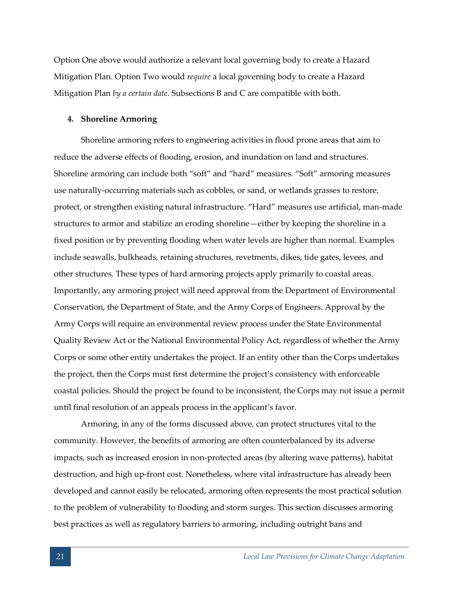Option One above would authorize a relevant local governing body to create a Hazard Mitigation Plan. Option Two would *require* a local governing body to create a Hazard Mitigation Plan *by a certain date*. Subsections B and C are compatible with both.

# <span id="page-25-0"></span>**4. Shoreline Armoring**

Shoreline armoring refers to engineering activities in flood prone areas that aim to reduce the adverse effects of flooding, erosion, and inundation on land and structures. Shoreline armoring can include both "soft" and "hard" measures. "Soft" armoring measures use naturally-occurring materials such as cobbles, or sand, or wetlands grasses to restore, protect, or strengthen existing natural infrastructure. "Hard" measures use artificial, man-made structures to armor and stabilize an eroding shoreline—either by keeping the shoreline in a fixed position or by preventing flooding when water levels are higher than normal. Examples include seawalls, bulkheads, retaining structures, revetments, dikes, tide gates, levees, and other structures. These types of hard armoring projects apply primarily to coastal areas. Importantly, any armoring project will need approval from the Department of Environmental Conservation, the Department of State, and the Army Corps of Engineers. Approval by the Army Corps will require an environmental review process under the State Environmental Quality Review Act or the National Environmental Policy Act, regardless of whether the Army Corps or some other entity undertakes the project. If an entity other than the Corps undertakes the project, then the Corps must first determine the project's consistency with enforceable coastal policies. Should the project be found to be inconsistent, the Corps may not issue a permit until final resolution of an appeals process in the applicant's favor.

Armoring, in any of the forms discussed above, can protect structures vital to the community. However, the benefits of armoring are often counterbalanced by its adverse impacts, such as increased erosion in non-protected areas (by altering wave patterns), habitat destruction, and high up-front cost. Nonetheless, where vital infrastructure has already been developed and cannot easily be relocated, armoring often represents the most practical solution to the problem of vulnerability to flooding and storm surges. This section discusses armoring best practices as well as regulatory barriers to armoring, including outright bans and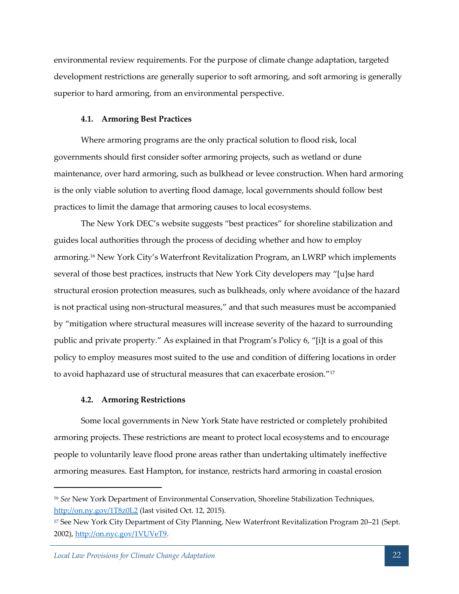environmental review requirements. For the purpose of climate change adaptation, targeted development restrictions are generally superior to soft armoring, and soft armoring is generally superior to hard armoring, from an environmental perspective.

# <span id="page-26-0"></span>**4.1. Armoring Best Practices**

Where armoring programs are the only practical solution to flood risk, local governments should first consider softer armoring projects, such as wetland or dune maintenance, over hard armoring, such as bulkhead or levee construction. When hard armoring is the only viable solution to averting flood damage, local governments should follow best practices to limit the damage that armoring causes to local ecosystems.

The New York DEC's website suggests "best practices" for shoreline stabilization and guides local authorities through the process of deciding whether and how to employ armoring.<sup>16</sup> New York City's Waterfront Revitalization Program, an LWRP which implements several of those best practices, instructs that New York City developers may "[u]se hard structural erosion protection measures, such as bulkheads, only where avoidance of the hazard is not practical using non-structural measures," and that such measures must be accompanied by "mitigation where structural measures will increase severity of the hazard to surrounding public and private property." As explained in that Program's Policy 6, "[i]t is a goal of this policy to employ measures most suited to the use and condition of differing locations in order to avoid haphazard use of structural measures that can exacerbate erosion."<sup>17</sup>

#### <span id="page-26-1"></span>**4.2. Armoring Restrictions**

Some local governments in New York State have restricted or completely prohibited armoring projects. These restrictions are meant to protect local ecosystems and to encourage people to voluntarily leave flood prone areas rather than undertaking ultimately ineffective armoring measures. East Hampton, for instance, restricts hard armoring in coastal erosion

<sup>16</sup> *See* New York Department of Environmental Conservation, Shoreline Stabilization Techniques, <http://on.ny.gov/1T8z0L2> (last visited Oct. 12, 2015).

<sup>17</sup> See New York City Department of City Planning, New Waterfront Revitalization Program 20–21 (Sept. 2002), [http://on.nyc.gov/1VUVeT9.](http://on.nyc.gov/1VUVeT9)